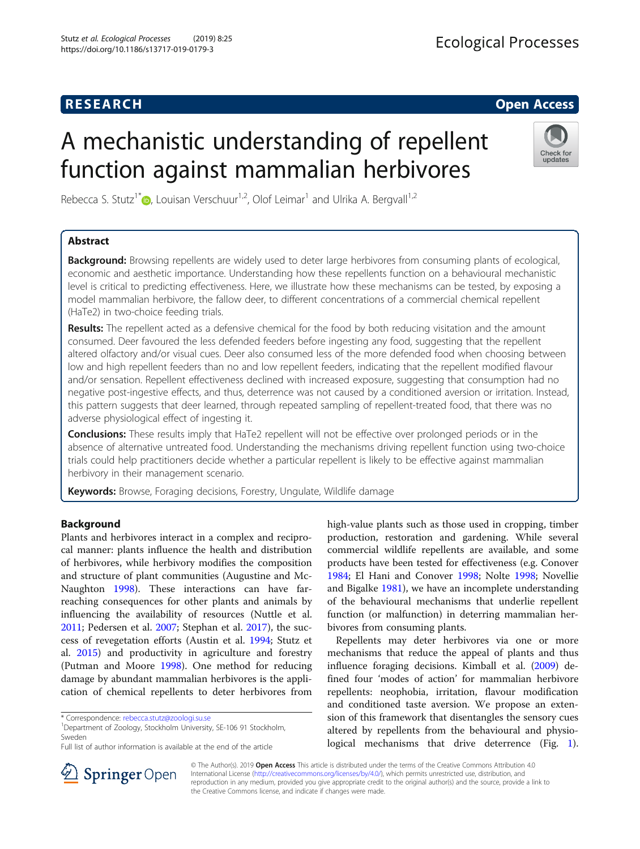# **RESEARCH CHILD CONTROL** CONTROL CONTROL CONTROL CONTROL CONTROL CONTROL CONTROL CONTROL CONTROL CONTROL CONTROL

# A mechanistic understanding of repellent function against mammalian herbivores



Rebecca S. Stutz<sup>1\*</sup>  $\bullet$ , Louisan Verschuur<sup>1,2</sup>, Olof Leimar<sup>1</sup> and Ulrika A. Bergvall<sup>1,2</sup>

# Abstract

Background: Browsing repellents are widely used to deter large herbivores from consuming plants of ecological, economic and aesthetic importance. Understanding how these repellents function on a behavioural mechanistic level is critical to predicting effectiveness. Here, we illustrate how these mechanisms can be tested, by exposing a model mammalian herbivore, the fallow deer, to different concentrations of a commercial chemical repellent (HaTe2) in two-choice feeding trials.

Results: The repellent acted as a defensive chemical for the food by both reducing visitation and the amount consumed. Deer favoured the less defended feeders before ingesting any food, suggesting that the repellent altered olfactory and/or visual cues. Deer also consumed less of the more defended food when choosing between low and high repellent feeders than no and low repellent feeders, indicating that the repellent modified flavour and/or sensation. Repellent effectiveness declined with increased exposure, suggesting that consumption had no negative post-ingestive effects, and thus, deterrence was not caused by a conditioned aversion or irritation. Instead, this pattern suggests that deer learned, through repeated sampling of repellent-treated food, that there was no adverse physiological effect of ingesting it.

**Conclusions:** These results imply that HaTe2 repellent will not be effective over prolonged periods or in the absence of alternative untreated food. Understanding the mechanisms driving repellent function using two-choice trials could help practitioners decide whether a particular repellent is likely to be effective against mammalian herbivory in their management scenario.

Keywords: Browse, Foraging decisions, Forestry, Ungulate, Wildlife damage

# Background

Plants and herbivores interact in a complex and reciprocal manner: plants influence the health and distribution of herbivores, while herbivory modifies the composition and structure of plant communities (Augustine and Mc-Naughton [1998](#page-6-0)). These interactions can have farreaching consequences for other plants and animals by influencing the availability of resources (Nuttle et al. [2011](#page-6-0); Pedersen et al. [2007;](#page-6-0) Stephan et al. [2017\)](#page-6-0), the success of revegetation efforts (Austin et al. [1994;](#page-6-0) Stutz et al. [2015](#page-6-0)) and productivity in agriculture and forestry (Putman and Moore [1998\)](#page-6-0). One method for reducing damage by abundant mammalian herbivores is the application of chemical repellents to deter herbivores from

Department of Zoology, Stockholm University, SE-106 91 Stockholm, Sweden



Repellents may deter herbivores via one or more mechanisms that reduce the appeal of plants and thus influence foraging decisions. Kimball et al. [\(2009](#page-6-0)) defined four 'modes of action' for mammalian herbivore repellents: neophobia, irritation, flavour modification and conditioned taste aversion. We propose an extension of this framework that disentangles the sensory cues altered by repellents from the behavioural and physiological mechanisms that drive deterrence (Fig. [1](#page-1-0)).



© The Author(s). 2019 Open Access This article is distributed under the terms of the Creative Commons Attribution 4.0 International License ([http://creativecommons.org/licenses/by/4.0/\)](http://creativecommons.org/licenses/by/4.0/), which permits unrestricted use, distribution, and reproduction in any medium, provided you give appropriate credit to the original author(s) and the source, provide a link to the Creative Commons license, and indicate if changes were made.

<sup>\*</sup> Correspondence: [rebecca.stutz@zoologi.su.se](mailto:rebecca.stutz@zoologi.su.se) <sup>1</sup>

Full list of author information is available at the end of the article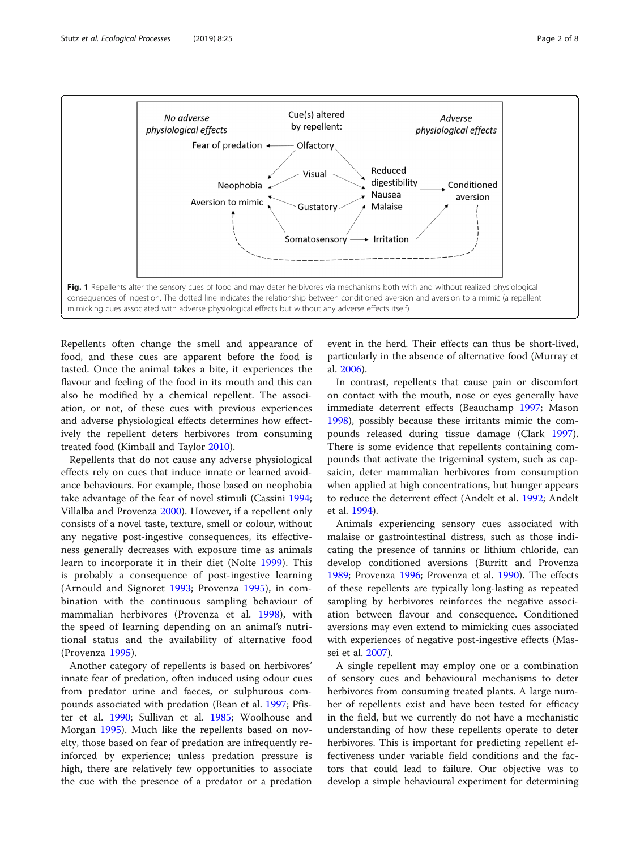<span id="page-1-0"></span>

Repellents often change the smell and appearance of food, and these cues are apparent before the food is tasted. Once the animal takes a bite, it experiences the flavour and feeling of the food in its mouth and this can also be modified by a chemical repellent. The association, or not, of these cues with previous experiences and adverse physiological effects determines how effectively the repellent deters herbivores from consuming treated food (Kimball and Taylor [2010\)](#page-6-0).

Repellents that do not cause any adverse physiological effects rely on cues that induce innate or learned avoidance behaviours. For example, those based on neophobia take advantage of the fear of novel stimuli (Cassini [1994](#page-6-0); Villalba and Provenza [2000\)](#page-6-0). However, if a repellent only consists of a novel taste, texture, smell or colour, without any negative post-ingestive consequences, its effectiveness generally decreases with exposure time as animals learn to incorporate it in their diet (Nolte [1999\)](#page-6-0). This is probably a consequence of post-ingestive learning (Arnould and Signoret [1993;](#page-6-0) Provenza [1995\)](#page-6-0), in combination with the continuous sampling behaviour of mammalian herbivores (Provenza et al. [1998](#page-6-0)), with the speed of learning depending on an animal's nutritional status and the availability of alternative food (Provenza [1995](#page-6-0)).

Another category of repellents is based on herbivores' innate fear of predation, often induced using odour cues from predator urine and faeces, or sulphurous compounds associated with predation (Bean et al. [1997;](#page-6-0) Pfister et al. [1990](#page-6-0); Sullivan et al. [1985](#page-6-0); Woolhouse and Morgan [1995\)](#page-6-0). Much like the repellents based on novelty, those based on fear of predation are infrequently reinforced by experience; unless predation pressure is high, there are relatively few opportunities to associate the cue with the presence of a predator or a predation

event in the herd. Their effects can thus be short-lived, particularly in the absence of alternative food (Murray et al. [2006](#page-6-0)).

In contrast, repellents that cause pain or discomfort on contact with the mouth, nose or eyes generally have immediate deterrent effects (Beauchamp [1997](#page-6-0); Mason [1998](#page-6-0)), possibly because these irritants mimic the compounds released during tissue damage (Clark [1997](#page-6-0)). There is some evidence that repellents containing compounds that activate the trigeminal system, such as capsaicin, deter mammalian herbivores from consumption when applied at high concentrations, but hunger appears to reduce the deterrent effect (Andelt et al. [1992;](#page-6-0) Andelt et al. [1994\)](#page-6-0).

Animals experiencing sensory cues associated with malaise or gastrointestinal distress, such as those indicating the presence of tannins or lithium chloride, can develop conditioned aversions (Burritt and Provenza [1989](#page-6-0); Provenza [1996](#page-6-0); Provenza et al. [1990](#page-6-0)). The effects of these repellents are typically long-lasting as repeated sampling by herbivores reinforces the negative association between flavour and consequence. Conditioned aversions may even extend to mimicking cues associated with experiences of negative post-ingestive effects (Massei et al. [2007\)](#page-6-0).

A single repellent may employ one or a combination of sensory cues and behavioural mechanisms to deter herbivores from consuming treated plants. A large number of repellents exist and have been tested for efficacy in the field, but we currently do not have a mechanistic understanding of how these repellents operate to deter herbivores. This is important for predicting repellent effectiveness under variable field conditions and the factors that could lead to failure. Our objective was to develop a simple behavioural experiment for determining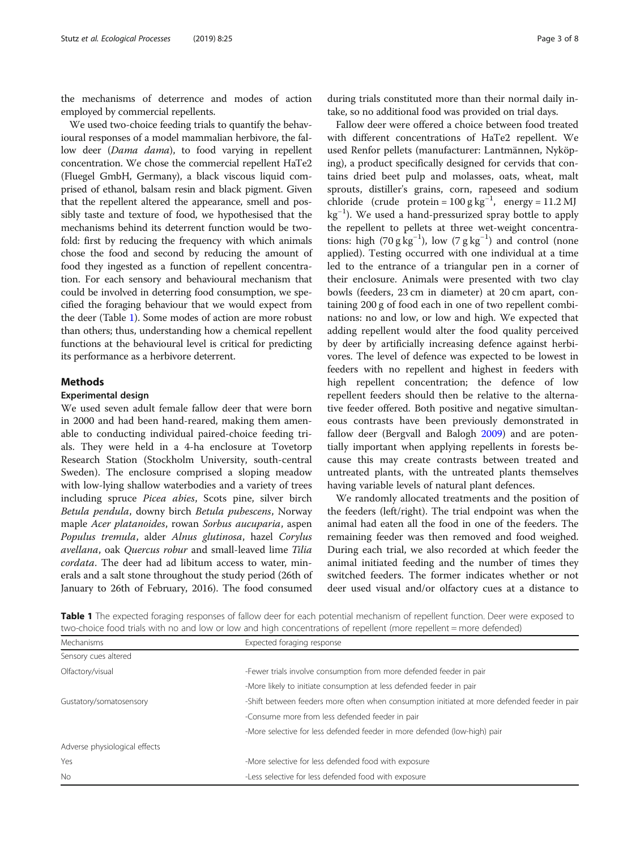the mechanisms of deterrence and modes of action employed by commercial repellents.

We used two-choice feeding trials to quantify the behavioural responses of a model mammalian herbivore, the fallow deer (Dama dama), to food varying in repellent concentration. We chose the commercial repellent HaTe2 (Fluegel GmbH, Germany), a black viscous liquid comprised of ethanol, balsam resin and black pigment. Given that the repellent altered the appearance, smell and possibly taste and texture of food, we hypothesised that the mechanisms behind its deterrent function would be twofold: first by reducing the frequency with which animals chose the food and second by reducing the amount of food they ingested as a function of repellent concentration. For each sensory and behavioural mechanism that could be involved in deterring food consumption, we specified the foraging behaviour that we would expect from the deer (Table 1). Some modes of action are more robust than others; thus, understanding how a chemical repellent functions at the behavioural level is critical for predicting its performance as a herbivore deterrent.

#### Methods

#### Experimental design

We used seven adult female fallow deer that were born in 2000 and had been hand-reared, making them amenable to conducting individual paired-choice feeding trials. They were held in a 4-ha enclosure at Tovetorp Research Station (Stockholm University, south-central Sweden). The enclosure comprised a sloping meadow with low-lying shallow waterbodies and a variety of trees including spruce Picea abies, Scots pine, silver birch Betula pendula, downy birch Betula pubescens, Norway maple Acer platanoides, rowan Sorbus aucuparia, aspen Populus tremula, alder Alnus glutinosa, hazel Corylus avellana, oak Quercus robur and small-leaved lime Tilia cordata. The deer had ad libitum access to water, minerals and a salt stone throughout the study period (26th of January to 26th of February, 2016). The food consumed

during trials constituted more than their normal daily intake, so no additional food was provided on trial days.

Fallow deer were offered a choice between food treated with different concentrations of HaTe2 repellent. We used Renfor pellets (manufacturer: Lantmännen, Nyköping), a product specifically designed for cervids that contains dried beet pulp and molasses, oats, wheat, malt sprouts, distiller's grains, corn, rapeseed and sodium chloride (crude protein =  $100 \text{ g kg}^{-1}$ , energy =  $11.2 \text{ M}$ ) kg<sup>-1</sup>). We used a hand-pressurized spray bottle to apply the repellent to pellets at three wet-weight concentrations: high (70 g  $kg^{-1}$ ), low (7 g  $kg^{-1}$ ) and control (none applied). Testing occurred with one individual at a time led to the entrance of a triangular pen in a corner of their enclosure. Animals were presented with two clay bowls (feeders, 23 cm in diameter) at 20 cm apart, containing 200 g of food each in one of two repellent combinations: no and low, or low and high. We expected that adding repellent would alter the food quality perceived by deer by artificially increasing defence against herbivores. The level of defence was expected to be lowest in feeders with no repellent and highest in feeders with high repellent concentration; the defence of low repellent feeders should then be relative to the alternative feeder offered. Both positive and negative simultaneous contrasts have been previously demonstrated in fallow deer (Bergvall and Balogh [2009\)](#page-6-0) and are potentially important when applying repellents in forests because this may create contrasts between treated and untreated plants, with the untreated plants themselves having variable levels of natural plant defences.

We randomly allocated treatments and the position of the feeders (left/right). The trial endpoint was when the animal had eaten all the food in one of the feeders. The remaining feeder was then removed and food weighed. During each trial, we also recorded at which feeder the animal initiated feeding and the number of times they switched feeders. The former indicates whether or not deer used visual and/or olfactory cues at a distance to

| Table 1 The expected foraging responses of fallow deer for each potential mechanism of repellent function. Deer were exposed to |  |  |  |  |  |
|---------------------------------------------------------------------------------------------------------------------------------|--|--|--|--|--|
| two-choice food trials with no and low or low and high concentrations of repellent (more repellent = more defended)             |  |  |  |  |  |

| Mechanisms                    | Expected foraging response                                                                   |  |  |  |  |  |
|-------------------------------|----------------------------------------------------------------------------------------------|--|--|--|--|--|
| Sensory cues altered          |                                                                                              |  |  |  |  |  |
| Olfactory/visual              | -Fewer trials involve consumption from more defended feeder in pair                          |  |  |  |  |  |
|                               | -More likely to initiate consumption at less defended feeder in pair                         |  |  |  |  |  |
| Gustatory/somatosensory       | -Shift between feeders more often when consumption initiated at more defended feeder in pair |  |  |  |  |  |
|                               | -Consume more from less defended feeder in pair                                              |  |  |  |  |  |
|                               | -More selective for less defended feeder in more defended (low-high) pair                    |  |  |  |  |  |
| Adverse physiological effects |                                                                                              |  |  |  |  |  |
| Yes                           | -More selective for less defended food with exposure                                         |  |  |  |  |  |
| N <sub>o</sub>                | -Less selective for less defended food with exposure                                         |  |  |  |  |  |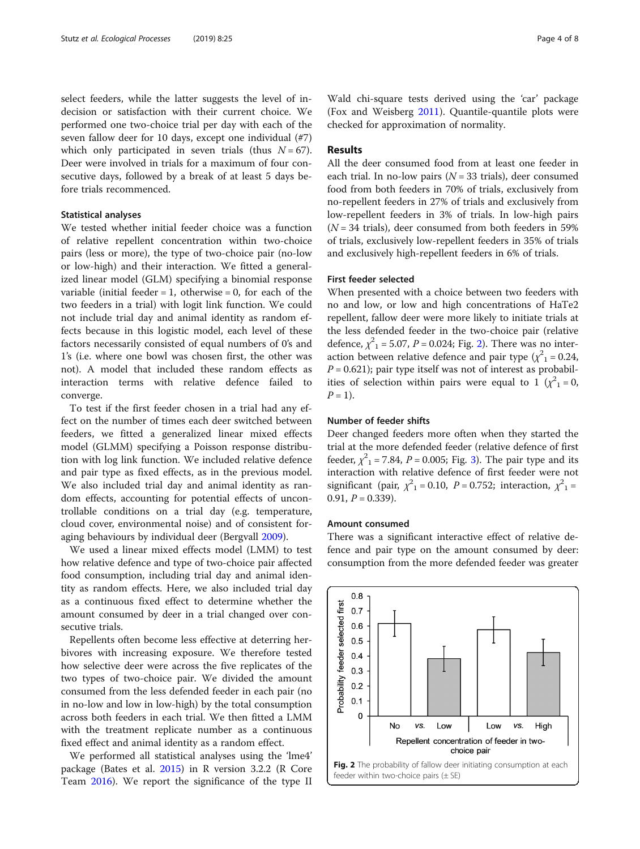select feeders, while the latter suggests the level of indecision or satisfaction with their current choice. We performed one two-choice trial per day with each of the seven fallow deer for 10 days, except one individual (#7) which only participated in seven trials (thus  $N = 67$ ). Deer were involved in trials for a maximum of four consecutive days, followed by a break of at least 5 days before trials recommenced.

#### Statistical analyses

We tested whether initial feeder choice was a function of relative repellent concentration within two-choice pairs (less or more), the type of two-choice pair (no-low or low-high) and their interaction. We fitted a generalized linear model (GLM) specifying a binomial response variable (initial feeder  $= 1$ , otherwise  $= 0$ , for each of the two feeders in a trial) with logit link function. We could not include trial day and animal identity as random effects because in this logistic model, each level of these factors necessarily consisted of equal numbers of 0's and 1's (i.e. where one bowl was chosen first, the other was not). A model that included these random effects as interaction terms with relative defence failed to converge.

To test if the first feeder chosen in a trial had any effect on the number of times each deer switched between feeders, we fitted a generalized linear mixed effects model (GLMM) specifying a Poisson response distribution with log link function. We included relative defence and pair type as fixed effects, as in the previous model. We also included trial day and animal identity as random effects, accounting for potential effects of uncontrollable conditions on a trial day (e.g. temperature, cloud cover, environmental noise) and of consistent foraging behaviours by individual deer (Bergvall [2009](#page-6-0)).

We used a linear mixed effects model (LMM) to test how relative defence and type of two-choice pair affected food consumption, including trial day and animal identity as random effects. Here, we also included trial day as a continuous fixed effect to determine whether the amount consumed by deer in a trial changed over consecutive trials.

Repellents often become less effective at deterring herbivores with increasing exposure. We therefore tested how selective deer were across the five replicates of the two types of two-choice pair. We divided the amount consumed from the less defended feeder in each pair (no in no-low and low in low-high) by the total consumption across both feeders in each trial. We then fitted a LMM with the treatment replicate number as a continuous fixed effect and animal identity as a random effect.

We performed all statistical analyses using the 'lme4' package (Bates et al. [2015\)](#page-6-0) in R version 3.2.2 (R Core Team [2016](#page-6-0)). We report the significance of the type II

Wald chi-square tests derived using the 'car' package (Fox and Weisberg [2011](#page-6-0)). Quantile-quantile plots were checked for approximation of normality.

## Results

All the deer consumed food from at least one feeder in each trial. In no-low pairs ( $N = 33$  trials), deer consumed food from both feeders in 70% of trials, exclusively from no-repellent feeders in 27% of trials and exclusively from low-repellent feeders in 3% of trials. In low-high pairs  $(N = 34$  trials), deer consumed from both feeders in 59% of trials, exclusively low-repellent feeders in 35% of trials and exclusively high-repellent feeders in 6% of trials.

#### First feeder selected

When presented with a choice between two feeders with no and low, or low and high concentrations of HaTe2 repellent, fallow deer were more likely to initiate trials at the less defended feeder in the two-choice pair (relative defence,  $\chi^2$ <sub>1</sub> = 5.07, *P* = 0.024; Fig. 2). There was no interaction between relative defence and pair type  $(\chi^2) = 0.24$ ,  $P = 0.621$ ); pair type itself was not of interest as probabilities of selection within pairs were equal to 1 ( $\chi^2$ <sub>1</sub> = 0,  $P = 1$ ).

#### Number of feeder shifts

Deer changed feeders more often when they started the trial at the more defended feeder (relative defence of first feeder,  $\chi^{2}$ <sub>1</sub> = 7.84, *P* = 0.005; Fig. [3](#page-4-0)). The pair type and its interaction with relative defence of first feeder were not significant (pair,  $\chi^2$ <sub>1</sub> = 0.10, *P* = 0.752; interaction,  $\chi^2$ <sub>1</sub> = 0.91,  $P = 0.339$ ).

#### Amount consumed

There was a significant interactive effect of relative defence and pair type on the amount consumed by deer: consumption from the more defended feeder was greater

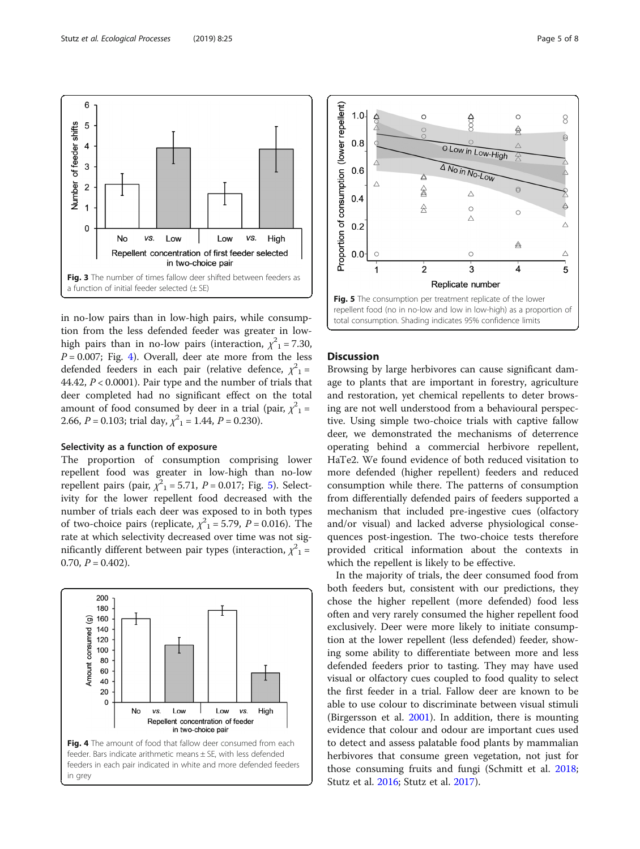<span id="page-4-0"></span>6

5

4

3

 $\overline{\mathbf{c}}$ 

 $\overline{1}$ 

 $\pmb{0}$ 

Number of feeder shifts



Fig. 3 The number of times fallow deer shifted between feeders as

Repellent concentration of first feeder selected

in two-choice pair

l ow

VS.

High

Low

#### Selectivity as a function of exposure

a function of initial feeder selected  $(\pm$  SE)

VS.

 $N<sub>0</sub>$ 

The proportion of consumption comprising lower repellent food was greater in low-high than no-low repellent pairs (pair,  $\chi^2$ <sub>1</sub> = 5.71, *P* = 0.017; Fig. 5). Selectivity for the lower repellent food decreased with the number of trials each deer was exposed to in both types of two-choice pairs (replicate,  $\chi^2$ <sub>1</sub> = 5.79, *P* = 0.016). The rate at which selectivity decreased over time was not significantly different between pair types (interaction,  $\chi^2{}_1$  = 0.70,  $P = 0.402$ ).





# repellent food (no in no-low and low in low-high) as a proportion of total consumption. Shading indicates 95% confidence limits

## **Discussion**

Browsing by large herbivores can cause significant damage to plants that are important in forestry, agriculture and restoration, yet chemical repellents to deter browsing are not well understood from a behavioural perspective. Using simple two-choice trials with captive fallow deer, we demonstrated the mechanisms of deterrence operating behind a commercial herbivore repellent, HaTe2. We found evidence of both reduced visitation to more defended (higher repellent) feeders and reduced consumption while there. The patterns of consumption from differentially defended pairs of feeders supported a mechanism that included pre-ingestive cues (olfactory and/or visual) and lacked adverse physiological consequences post-ingestion. The two-choice tests therefore provided critical information about the contexts in which the repellent is likely to be effective.

In the majority of trials, the deer consumed food from both feeders but, consistent with our predictions, they chose the higher repellent (more defended) food less often and very rarely consumed the higher repellent food exclusively. Deer were more likely to initiate consumption at the lower repellent (less defended) feeder, showing some ability to differentiate between more and less defended feeders prior to tasting. They may have used visual or olfactory cues coupled to food quality to select the first feeder in a trial. Fallow deer are known to be able to use colour to discriminate between visual stimuli (Birgersson et al. [2001](#page-6-0)). In addition, there is mounting evidence that colour and odour are important cues used to detect and assess palatable food plants by mammalian herbivores that consume green vegetation, not just for those consuming fruits and fungi (Schmitt et al. [2018](#page-6-0); Stutz et al. [2016;](#page-6-0) Stutz et al. [2017\)](#page-6-0).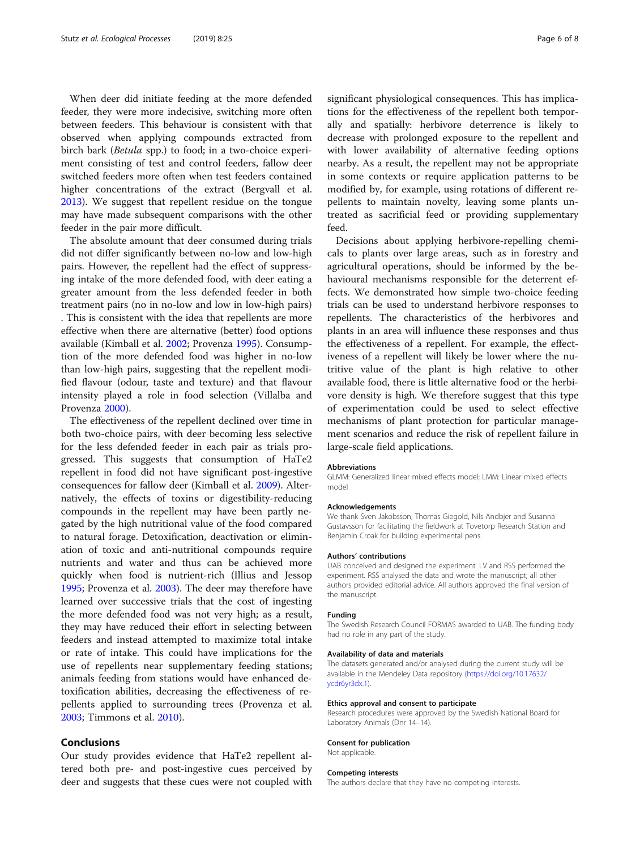When deer did initiate feeding at the more defended feeder, they were more indecisive, switching more often between feeders. This behaviour is consistent with that observed when applying compounds extracted from birch bark (Betula spp.) to food; in a two-choice experiment consisting of test and control feeders, fallow deer switched feeders more often when test feeders contained higher concentrations of the extract (Bergvall et al. [2013](#page-6-0)). We suggest that repellent residue on the tongue may have made subsequent comparisons with the other feeder in the pair more difficult.

The absolute amount that deer consumed during trials did not differ significantly between no-low and low-high pairs. However, the repellent had the effect of suppressing intake of the more defended food, with deer eating a greater amount from the less defended feeder in both treatment pairs (no in no-low and low in low-high pairs) . This is consistent with the idea that repellents are more effective when there are alternative (better) food options available (Kimball et al. [2002](#page-6-0); Provenza [1995](#page-6-0)). Consumption of the more defended food was higher in no-low than low-high pairs, suggesting that the repellent modified flavour (odour, taste and texture) and that flavour intensity played a role in food selection (Villalba and Provenza [2000\)](#page-6-0).

The effectiveness of the repellent declined over time in both two-choice pairs, with deer becoming less selective for the less defended feeder in each pair as trials progressed. This suggests that consumption of HaTe2 repellent in food did not have significant post-ingestive consequences for fallow deer (Kimball et al. [2009](#page-6-0)). Alternatively, the effects of toxins or digestibility-reducing compounds in the repellent may have been partly negated by the high nutritional value of the food compared to natural forage. Detoxification, deactivation or elimination of toxic and anti-nutritional compounds require nutrients and water and thus can be achieved more quickly when food is nutrient-rich (Illius and Jessop [1995](#page-6-0); Provenza et al. [2003](#page-6-0)). The deer may therefore have learned over successive trials that the cost of ingesting the more defended food was not very high; as a result, they may have reduced their effort in selecting between feeders and instead attempted to maximize total intake or rate of intake. This could have implications for the use of repellents near supplementary feeding stations; animals feeding from stations would have enhanced detoxification abilities, decreasing the effectiveness of repellents applied to surrounding trees (Provenza et al. [2003](#page-6-0); Timmons et al. [2010](#page-6-0)).

#### Conclusions

Our study provides evidence that HaTe2 repellent altered both pre- and post-ingestive cues perceived by deer and suggests that these cues were not coupled with significant physiological consequences. This has implications for the effectiveness of the repellent both temporally and spatially: herbivore deterrence is likely to decrease with prolonged exposure to the repellent and with lower availability of alternative feeding options nearby. As a result, the repellent may not be appropriate in some contexts or require application patterns to be modified by, for example, using rotations of different repellents to maintain novelty, leaving some plants untreated as sacrificial feed or providing supplementary feed.

Decisions about applying herbivore-repelling chemicals to plants over large areas, such as in forestry and agricultural operations, should be informed by the behavioural mechanisms responsible for the deterrent effects. We demonstrated how simple two-choice feeding trials can be used to understand herbivore responses to repellents. The characteristics of the herbivores and plants in an area will influence these responses and thus the effectiveness of a repellent. For example, the effectiveness of a repellent will likely be lower where the nutritive value of the plant is high relative to other available food, there is little alternative food or the herbivore density is high. We therefore suggest that this type of experimentation could be used to select effective mechanisms of plant protection for particular management scenarios and reduce the risk of repellent failure in large-scale field applications.

#### Abbreviations

GLMM: Generalized linear mixed effects model; LMM: Linear mixed effects model

#### Acknowledgements

We thank Sven Jakobsson, Thomas Giegold, Nils Andbjer and Susanna Gustavsson for facilitating the fieldwork at Tovetorp Research Station and Benjamin Croak for building experimental pens.

#### Authors' contributions

UAB conceived and designed the experiment. LV and RSS performed the experiment. RSS analysed the data and wrote the manuscript; all other authors provided editorial advice. All authors approved the final version of the manuscript.

#### Funding

The Swedish Research Council FORMAS awarded to UAB. The funding body had no role in any part of the study.

#### Availability of data and materials

The datasets generated and/or analysed during the current study will be available in the Mendeley Data repository ([https://doi.org/10.17632/](https://doi.org/10.17632/ycdr6yr3dx.1) [ycdr6yr3dx.1](https://doi.org/10.17632/ycdr6yr3dx.1)).

#### Ethics approval and consent to participate

Research procedures were approved by the Swedish National Board for Laboratory Animals (Dnr 14–14).

#### Consent for publication Not applicable.

#### Competing interests

The authors declare that they have no competing interests.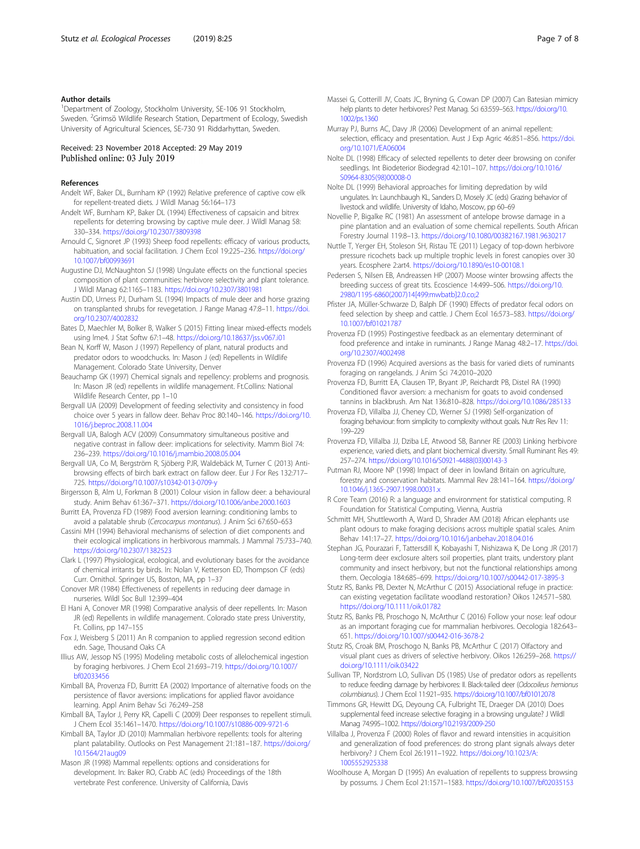#### <span id="page-6-0"></span>Author details

<sup>1</sup>Department of Zoology, Stockholm University, SE-106 91 Stockholm, Sweden. <sup>2</sup>Grimsö Wildlife Research Station, Department of Ecology, Swedish University of Agricultural Sciences, SE-730 91 Riddarhyttan, Sweden.

#### Received: 23 November 2018 Accepted: 29 May 2019 Published online: 03 July 2019

#### References

- Andelt WF, Baker DL, Burnham KP (1992) Relative preference of captive cow elk for repellent-treated diets. J Wildl Manag 56:164–173
- Andelt WF, Burnham KP, Baker DL (1994) Effectiveness of capsaicin and bitrex repellents for deterring browsing by captive mule deer. J Wildl Manag 58: 330–334. <https://doi.org/10.2307/3809398>
- Arnould C, Signoret JP (1993) Sheep food repellents: efficacy of various products, habituation, and social facilitation. J Chem Ecol 19:225–236. [https://doi.org/](https://doi.org/10.1007/bf00993691) [10.1007/bf00993691](https://doi.org/10.1007/bf00993691)
- Augustine DJ, McNaughton SJ (1998) Ungulate effects on the functional species composition of plant communities: herbivore selectivity and plant tolerance. J Wildl Manag 62:1165–1183. <https://doi.org/10.2307/3801981>
- Austin DD, Urness PJ, Durham SL (1994) Impacts of mule deer and horse grazing on transplanted shrubs for revegetation. J Range Manag 47:8–11. [https://doi.](https://doi.org/10.2307/4002832) [org/10.2307/4002832](https://doi.org/10.2307/4002832)
- Bates D, Maechler M, Bolker B, Walker S (2015) Fitting linear mixed-effects models using lme4. J Stat Softw 67:1–48. <https://doi.org/10.18637/jss.v067.i01>
- Bean N, Korff W, Mason J (1997) Repellency of plant, natural products and predator odors to woodchucks. In: Mason J (ed) Repellents in Wildlife Management. Colorado State University, Denver
- Beauchamp GK (1997) Chemical signals and repellency: problems and prognosis. In: Mason JR (ed) repellents in wildlife management. Ft.Collins: National Wildlife Research Center, pp 1–10
- Bergvall UA (2009) Development of feeding selectivity and consistency in food choice over 5 years in fallow deer. Behav Proc 80:140–146. [https://doi.org/10.](https://doi.org/10.1016/j.beproc.2008.11.004) [1016/j.beproc.2008.11.004](https://doi.org/10.1016/j.beproc.2008.11.004)
- Bergvall UA, Balogh ACV (2009) Consummatory simultaneous positive and negative contrast in fallow deer: implications for selectivity. Mamm Biol 74: 236–239. <https://doi.org/10.1016/j.mambio.2008.05.004>
- Bergvall UA, Co M, Bergström R, Sjöberg PJR, Waldebäck M, Turner C (2013) Antibrowsing effects of birch bark extract on fallow deer. Eur J For Res 132:717– 725. <https://doi.org/10.1007/s10342-013-0709-y>
- Birgersson B, Alm U, Forkman B (2001) Colour vision in fallow deer: a behavioural study. Anim Behav 61:367–371. <https://doi.org/10.1006/anbe.2000.1603>
- Burritt EA, Provenza FD (1989) Food aversion learning: conditioning lambs to avoid a palatable shrub (Cercocarpus montanus). J Anim Sci 67:650–653
- Cassini MH (1994) Behavioral mechanisms of selection of diet components and their ecological implications in herbivorous mammals. J Mammal 75:733–740. <https://doi.org/10.2307/1382523>
- Clark L (1997) Physiological, ecological, and evolutionary bases for the avoidance of chemical irritants by birds. In: Nolan V, Ketterson ED, Thompson CF (eds) Curr. Ornithol. Springer US, Boston, MA, pp 1–37
- Conover MR (1984) Effectiveness of repellents in reducing deer damage in nurseries. Wildl Soc Bull 12:399–404
- El Hani A, Conover MR (1998) Comparative analysis of deer repellents. In: Mason JR (ed) Repellents in wildlife management. Colorado state press Universtity, Ft. Collins, pp 147–155
- Fox J, Weisberg S (2011) An R companion to applied regression second edition edn. Sage, Thousand Oaks CA
- Illius AW, Jessop NS (1995) Modeling metabolic costs of allelochemical ingestion by foraging herbivores. J Chem Ecol 21:693–719. [https://doi.org/10.1007/](https://doi.org/10.1007/bf02033456) [bf02033456](https://doi.org/10.1007/bf02033456)
- Kimball BA, Provenza FD, Burritt EA (2002) Importance of alternative foods on the persistence of flavor aversions: implications for applied flavor avoidance learning. Appl Anim Behav Sci 76:249–258
- Kimball BA, Taylor J, Perry KR, Capelli C (2009) Deer responses to repellent stimuli. J Chem Ecol 35:1461–1470. <https://doi.org/10.1007/s10886-009-9721-6>
- Kimball BA, Taylor JD (2010) Mammalian herbivore repellents: tools for altering plant palatability. Outlooks on Pest Management 21:181–187. [https://doi.org/](https://doi.org/10.1564/21aug09) [10.1564/21aug09](https://doi.org/10.1564/21aug09)

Mason JR (1998) Mammal repellents: options and considerations for development. In: Baker RO, Crabb AC (eds) Proceedings of the 18th vertebrate Pest conference. University of California, Davis

- Massei G, Cotterill JV, Coats JC, Bryning G, Cowan DP (2007) Can Batesian mimicry help plants to deter herbivores? Pest Manag. Sci 63:559–563. [https://doi.org/10.](https://doi.org/10.1002/ps.1360) [1002/ps.1360](https://doi.org/10.1002/ps.1360)
- Murray PJ, Burns AC, Davy JR (2006) Development of an animal repellent: selection, efficacy and presentation. Aust J Exp Agric 46:851–856. [https://doi.](https://doi.org/10.1071/EA06004) [org/10.1071/EA06004](https://doi.org/10.1071/EA06004)
- Nolte DL (1998) Efficacy of selected repellents to deter deer browsing on conifer seedlings. Int Biodeterior Biodegrad 42:101–107. [https://doi.org/10.1016/](https://doi.org/10.1016/S0964-8305(98)00008-0) [S0964-8305\(98\)00008-0](https://doi.org/10.1016/S0964-8305(98)00008-0)
- Nolte DL (1999) Behavioral approaches for limiting depredation by wild ungulates. In: Launchbaugh KL, Sanders D, Mosely JC (eds) Grazing behavior of livestock and wildlife. University of Idaho, Moscow, pp 60–69
- Novellie P, Bigalke RC (1981) An assessment of antelope browse damage in a pine plantation and an evaluation of some chemical repellents. South African Forestry Journal 119:8–13. <https://doi.org/10.1080/00382167.1981.9630217>
- Nuttle T, Yerger EH, Stoleson SH, Ristau TE (2011) Legacy of top-down herbivore pressure ricochets back up multiple trophic levels in forest canopies over 30 years. Ecosphere 2:art4. <https://doi.org/10.1890/es10-00108.1>
- Pedersen S, Nilsen EB, Andreassen HP (2007) Moose winter browsing affects the breeding success of great tits. Ecoscience 14:499–506. [https://doi.org/10.](https://doi.org/10.2980/1195-6860(2007)14<499:mwbatb>2.0.co;2) [2980/1195-6860\(2007\)14\[499:mwbatb\]2.0.co;2](https://doi.org/10.2980/1195-6860(2007)14<499:mwbatb>2.0.co;2)
- Pfister JA, Müller-Schwarze D, Balph DF (1990) Effects of predator fecal odors on feed selection by sheep and cattle. J Chem Ecol 16:573–583. [https://doi.org/](https://doi.org/10.1007/bf01021787) [10.1007/bf01021787](https://doi.org/10.1007/bf01021787)
- Provenza FD (1995) Postingestive feedback as an elementary determinant of food preference and intake in ruminants. J Range Manag 48:2–17. [https://doi.](https://doi.org/10.2307/4002498) [org/10.2307/4002498](https://doi.org/10.2307/4002498)
- Provenza FD (1996) Acquired aversions as the basis for varied diets of ruminants foraging on rangelands. J Anim Sci 74:2010–2020
- Provenza FD, Burritt EA, Clausen TP, Bryant JP, Reichardt PB, Distel RA (1990) Conditioned flavor aversion: a mechanism for goats to avoid condensed tannins in blackbrush. Am Nat 136:810–828. <https://doi.org/10.1086/285133>
- Provenza FD, Villalba JJ, Cheney CD, Werner SJ (1998) Self-organization of foraging behaviour: from simplicity to complexity without goals. Nutr Res Rev 11: 199–229
- Provenza FD, Villalba JJ, Dziba LE, Atwood SB, Banner RE (2003) Linking herbivore experience, varied diets, and plant biochemical diversity. Small Ruminant Res 49: 257–274. [https://doi.org/10.1016/S0921-4488\(03\)00143-3](https://doi.org/10.1016/S0921-4488(03)00143-3)
- Putman RJ, Moore NP (1998) Impact of deer in lowland Britain on agriculture, forestry and conservation habitats. Mammal Rev 28:141–164. [https://doi.org/](https://doi.org/10.1046/j.1365-2907.1998.00031.x) [10.1046/j.1365-2907.1998.00031.x](https://doi.org/10.1046/j.1365-2907.1998.00031.x)
- R Core Team (2016) R: a language and environment for statistical computing. R Foundation for Statistical Computing, Vienna, Austria
- Schmitt MH, Shuttleworth A, Ward D, Shrader AM (2018) African elephants use plant odours to make foraging decisions across multiple spatial scales. Anim Behav 141:17–27. <https://doi.org/10.1016/j.anbehav.2018.04.016>
- Stephan JG, Pourazari F, Tattersdill K, Kobayashi T, Nishizawa K, De Long JR (2017) Long-term deer exclosure alters soil properties, plant traits, understory plant community and insect herbivory, but not the functional relationships among them. Oecologia 184:685–699. <https://doi.org/10.1007/s00442-017-3895-3>
- Stutz RS, Banks PB, Dexter N, McArthur C (2015) Associational refuge in practice: can existing vegetation facilitate woodland restoration? Oikos 124:571–580. <https://doi.org/10.1111/oik.01782>
- Stutz RS, Banks PB, Proschogo N, McArthur C (2016) Follow your nose: leaf odour as an important foraging cue for mammalian herbivores. Oecologia 182:643– 651. <https://doi.org/10.1007/s00442-016-3678-2>
- Stutz RS, Croak BM, Proschogo N, Banks PB, McArthur C (2017) Olfactory and visual plant cues as drivers of selective herbivory. Oikos 126:259–268. [https://](https://doi.org/10.1111/oik.03422) [doi.org/10.1111/oik.03422](https://doi.org/10.1111/oik.03422)
- Sullivan TP, Nordstrom LO, Sullivan DS (1985) Use of predator odors as repellents to reduce feeding damage by herbivores: II. Black-tailed deer (Odocoileus hemionus columbianus). J Chem Ecol 11:921–935. <https://doi.org/10.1007/bf01012078>
- Timmons GR, Hewitt DG, Deyoung CA, Fulbright TE, Draeger DA (2010) Does supplemental feed increase selective foraging in a browsing ungulate? J Wildl Manag 74:995–1002. <https://doi.org/10.2193/2009-250>
- Villalba J, Provenza F (2000) Roles of flavor and reward intensities in acquisition and generalization of food preferences: do strong plant signals always deter herbivory? J Chem Ecol 26:1911–1922. [https://doi.org/10.1023/A:](https://doi.org/10.1023/A:1005552925338) [1005552925338](https://doi.org/10.1023/A:1005552925338)
- Woolhouse A, Morgan D (1995) An evaluation of repellents to suppress browsing by possums. J Chem Ecol 21:1571–1583. <https://doi.org/10.1007/bf02035153>